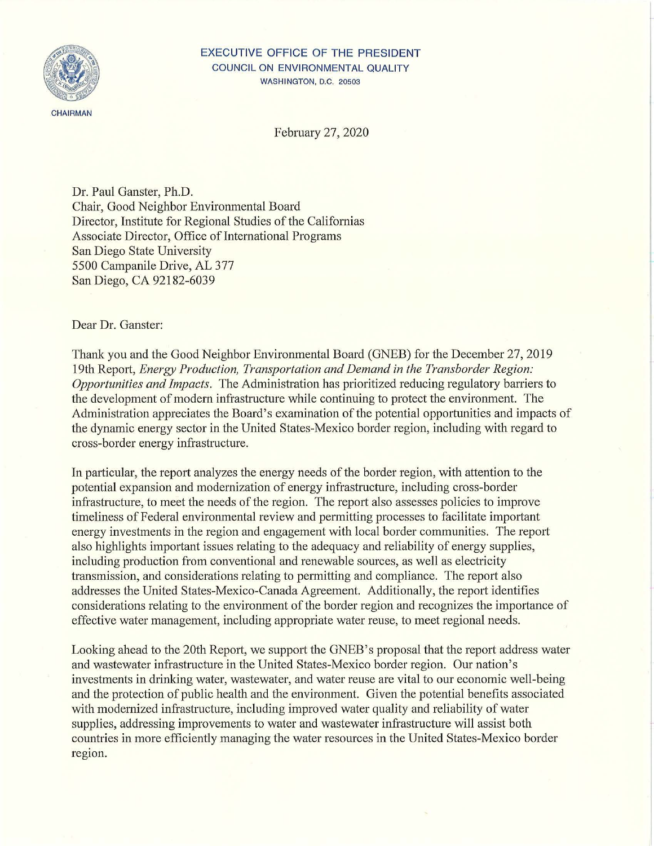

## EXECUTIVE OFFICE OF THE PRESIDENT COUNCIL ON ENVIRONMENTAL QUALITY WASHINGTON, D.C. 20503

February 27, 2020

Dr. Paul Ganster, Ph.D. Chair, Good Neighbor Environmental Board Director, Institute for Regional Studies of the Californias Associate Director, Office of International Programs San Diego State University 5500 Campanile Drive, AL 377 San Diego, CA 92182-6039

## Dear Dr. Ganster:

Thank you and the Good Neighbor Environmental Board (GNEB) for the December 27, 2019 19th Report, *Energy Production, Transportation and Demand in the Transborder Region: Opportunities and Impacts.* The Administration has prioritized reducing regulatory barriers to the development of modern infrastructure while continuing to protect the environment. The Administration appreciates the Board's examination of the potential opportunities and impacts of the dynamic energy sector in the United States-Mexico border region, including with regard to cross-border energy infrastructure.

In particular, the report analyzes the energy needs of the border region, with attention to the potential expansion and modernization of energy infrastructure, including cross-border infrastructure, to meet the needs of the region. The report also assesses policies to improve timeliness of Federal environmental review and permitting processes to facilitate important energy investments in the region and engagement with local border communities. The report also highlights important issues relating to the adequacy and reliability of energy supplies, including production from conventional and renewable sources, as well as electricity transmission, and considerations relating to permitting and compliance. The report also addresses the United States-Mexico-Canada Agreement. Additionally, the report identifies considerations relating to the environment of the border region and recognizes the importance of effective water management, including appropriate water reuse, to meet regional needs.

Looking ahead to the 20th Report, we support the GNEB's proposal that the report address water and wastewater infrastructure in the United States-Mexico border region. Our nation's investments in drinking water, wastewater, and water reuse are vital to our economic well-being and the protection of public health and the environment. Given the potential benefits associated with modernized infrastructure, including improved water quality and reliability of water supplies, addressing improvements to water and wastewater infrastructure will assist both countries in more efficiently managing the water resources in the United States-Mexico border region.